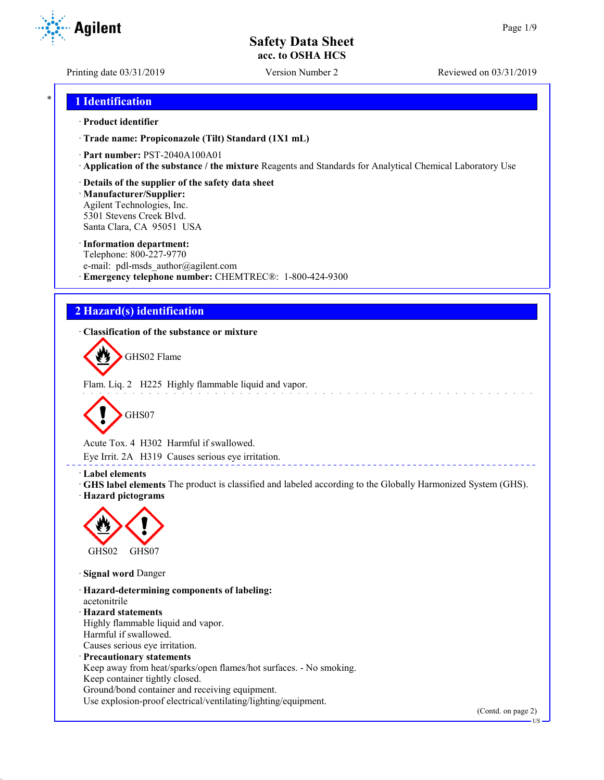Printing date 03/31/2019 Version Number 2 Reviewed on 03/31/2019

# \* **1 Identification**

### · **Product identifier**

· **Trade name: Propiconazole (Tilt) Standard (1X1 mL)**

- · **Part number:** PST-2040A100A01
- · **Application of the substance / the mixture** Reagents and Standards for Analytical Chemical Laboratory Use
- · **Details of the supplier of the safety data sheet**

· **Manufacturer/Supplier:** Agilent Technologies, Inc. 5301 Stevens Creek Blvd. Santa Clara, CA 95051 USA

### · **Information department:**

Telephone: 800-227-9770 e-mail: pdl-msds author@agilent.com · **Emergency telephone number:** CHEMTREC®: 1-800-424-9300

# **2 Hazard(s) identification**

· **Classification of the substance or mixture**



Flam. Liq. 2 H225 Highly flammable liquid and vapor.



Acute Tox. 4 H302 Harmful if swallowed.

Eye Irrit. 2A H319 Causes serious eye irritation.

### · **Label elements**

· **GHS label elements** The product is classified and labeled according to the Globally Harmonized System (GHS). · **Hazard pictograms**

\_\_\_\_\_\_\_\_\_\_\_\_\_\_\_\_\_\_\_\_\_\_



· **Signal word** Danger

· **Hazard-determining components of labeling:** acetonitrile · **Hazard statements** Highly flammable liquid and vapor. Harmful if swallowed. Causes serious eye irritation. · **Precautionary statements** Keep away from heat/sparks/open flames/hot surfaces. - No smoking. Keep container tightly closed. Ground/bond container and receiving equipment.

Use explosion-proof electrical/ventilating/lighting/equipment.

(Contd. on page 2)



US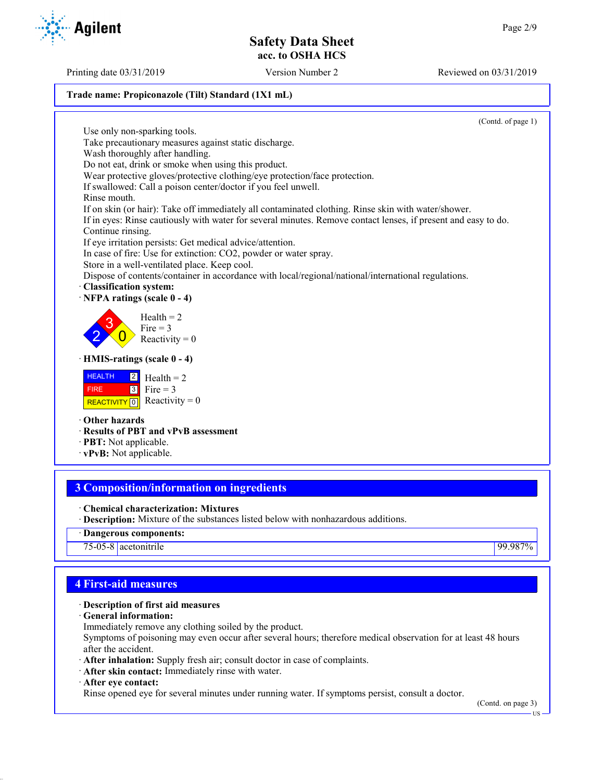Printing date 03/31/2019 Version Number 2 Reviewed on 03/31/2019

### **Trade name: Propiconazole (Tilt) Standard (1X1 mL)**

(Contd. of page 1) Use only non-sparking tools. Take precautionary measures against static discharge. Wash thoroughly after handling. Do not eat, drink or smoke when using this product. Wear protective gloves/protective clothing/eye protection/face protection. If swallowed: Call a poison center/doctor if you feel unwell. Rinse mouth. If on skin (or hair): Take off immediately all contaminated clothing. Rinse skin with water/shower. If in eyes: Rinse cautiously with water for several minutes. Remove contact lenses, if present and easy to do. Continue rinsing. If eye irritation persists: Get medical advice/attention. In case of fire: Use for extinction: CO2, powder or water spray. Store in a well-ventilated place. Keep cool. Dispose of contents/container in accordance with local/regional/national/international regulations. · **Classification system:** · **NFPA ratings (scale 0 - 4)** 2 3  $\overline{0}$  $Health = 2$ Fire  $= 3$ Reactivity  $= 0$ · **HMIS-ratings (scale 0 - 4) HEALTH**  FIRE REACTIVITY  $\boxed{0}$  Reactivity = 0 2 3  $Health = 2$ Fire  $= 3$ · **Other hazards**

- · **Results of PBT and vPvB assessment**
- · **PBT:** Not applicable.
- · **vPvB:** Not applicable.

# **3 Composition/information on ingredients**

- · **Chemical characterization: Mixtures**
- · **Description:** Mixture of the substances listed below with nonhazardous additions.
- · **Dangerous components:**

75-05-8 acetonitrile 99.987%

# **4 First-aid measures**

# · **Description of first aid measures**

- · **General information:**
- Immediately remove any clothing soiled by the product.

Symptoms of poisoning may even occur after several hours; therefore medical observation for at least 48 hours after the accident.

- · **After inhalation:** Supply fresh air; consult doctor in case of complaints.
- · **After skin contact:** Immediately rinse with water.
- · **After eye contact:**

Rinse opened eye for several minutes under running water. If symptoms persist, consult a doctor.

(Contd. on page 3)



US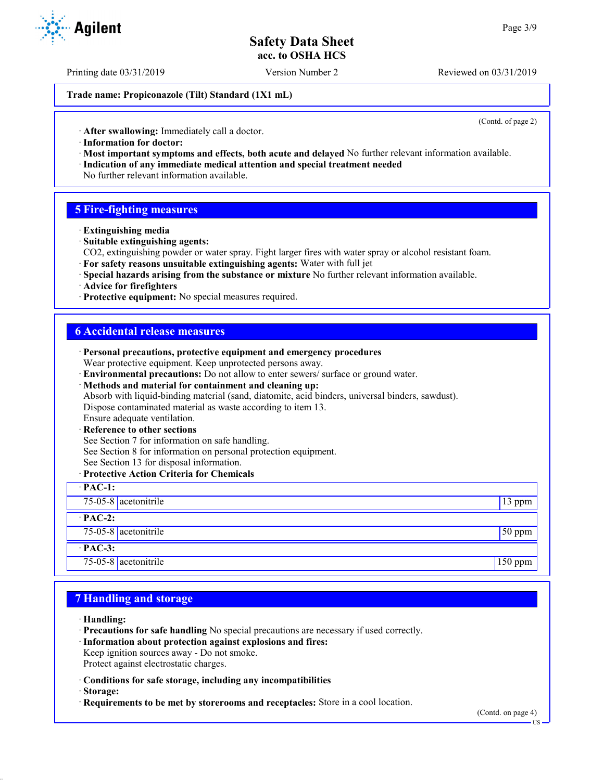Printing date 03/31/2019 Version Number 2 Reviewed on 03/31/2019

**Trade name: Propiconazole (Tilt) Standard (1X1 mL)**

(Contd. of page 2)

· **After swallowing:** Immediately call a doctor.

- · **Information for doctor:**
- · **Most important symptoms and effects, both acute and delayed** No further relevant information available. · **Indication of any immediate medical attention and special treatment needed**
- No further relevant information available.

# **5 Fire-fighting measures**

- · **Extinguishing media**
- · **Suitable extinguishing agents:**
- CO2, extinguishing powder or water spray. Fight larger fires with water spray or alcohol resistant foam.
- · **For safety reasons unsuitable extinguishing agents:** Water with full jet
- · **Special hazards arising from the substance or mixture** No further relevant information available.
- · **Advice for firefighters**
- · **Protective equipment:** No special measures required.

### **6 Accidental release measures**

| · Personal precautions, protective equipment and emergency procedures                            |           |
|--------------------------------------------------------------------------------------------------|-----------|
| Wear protective equipment. Keep unprotected persons away.                                        |           |
| · Environmental precautions: Do not allow to enter sewers/ surface or ground water.              |           |
| · Methods and material for containment and cleaning up:                                          |           |
| Absorb with liquid-binding material (sand, diatomite, acid binders, universal binders, sawdust). |           |
| Dispose contaminated material as waste according to item 13.                                     |           |
| Ensure adequate ventilation.                                                                     |           |
| · Reference to other sections                                                                    |           |
| See Section 7 for information on safe handling.                                                  |           |
| See Section 8 for information on personal protection equipment.                                  |           |
| See Section 13 for disposal information.                                                         |           |
| · Protective Action Criteria for Chemicals                                                       |           |
| $\cdot$ PAC-1:                                                                                   |           |
| 75-05-8 acetonitrile                                                                             | $13$ ppm  |
| $\cdot$ PAC-2:                                                                                   |           |
| $75-05-8$ acetonitrile                                                                           | 50 ppm    |
| $·$ PAC-3:                                                                                       |           |
| 75-05-8 $ $ acetonitrile                                                                         | $150$ ppm |

# **7 Handling and storage**

- · **Handling:**
- · **Precautions for safe handling** No special precautions are necessary if used correctly.
- · **Information about protection against explosions and fires:**
- Keep ignition sources away Do not smoke.
- Protect against electrostatic charges.
- · **Conditions for safe storage, including any incompatibilities**
- · **Storage:**
- · **Requirements to be met by storerooms and receptacles:** Store in a cool location.

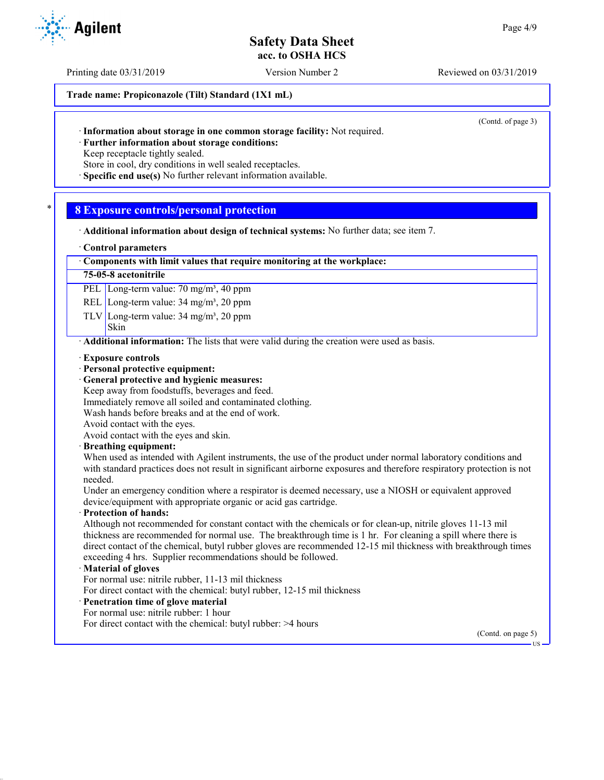Printing date 03/31/2019 Version Number 2 Reviewed on 03/31/2019

**Trade name: Propiconazole (Tilt) Standard (1X1 mL)**

(Contd. of page 3)

· **Further information about storage conditions:**

Keep receptacle tightly sealed.

Store in cool, dry conditions in well sealed receptacles.

· **Specific end use(s)** No further relevant information available.

# \* **8 Exposure controls/personal protection**

· **Additional information about design of technical systems:** No further data; see item 7.

### · **Control parameters**

### · **Components with limit values that require monitoring at the workplace:**

### **75-05-8 acetonitrile**

PEL Long-term value: 70 mg/m<sup>3</sup>, 40 ppm

REL Long-term value: 34 mg/m<sup>3</sup>, 20 ppm

TLV Long-term value:  $34 \text{ mg/m}^3$ ,  $20 \text{ ppm}$ 

### Skin

**Agilent** 

· **Additional information:** The lists that were valid during the creation were used as basis.

- · **Exposure controls**
- · **Personal protective equipment:**
- · **General protective and hygienic measures:**
- Keep away from foodstuffs, beverages and feed.
- Immediately remove all soiled and contaminated clothing.
- Wash hands before breaks and at the end of work.

Avoid contact with the eyes.

Avoid contact with the eyes and skin.

· **Breathing equipment:**

When used as intended with Agilent instruments, the use of the product under normal laboratory conditions and with standard practices does not result in significant airborne exposures and therefore respiratory protection is not needed.

Under an emergency condition where a respirator is deemed necessary, use a NIOSH or equivalent approved device/equipment with appropriate organic or acid gas cartridge.

### · **Protection of hands:**

Although not recommended for constant contact with the chemicals or for clean-up, nitrile gloves 11-13 mil thickness are recommended for normal use. The breakthrough time is 1 hr. For cleaning a spill where there is direct contact of the chemical, butyl rubber gloves are recommended 12-15 mil thickness with breakthrough times exceeding 4 hrs. Supplier recommendations should be followed.

### · **Material of gloves**

For normal use: nitrile rubber, 11-13 mil thickness

For direct contact with the chemical: butyl rubber, 12-15 mil thickness

- · **Penetration time of glove material**
- For normal use: nitrile rubber: 1 hour
- For direct contact with the chemical: butyl rubber: >4 hours

(Contd. on page 5)

US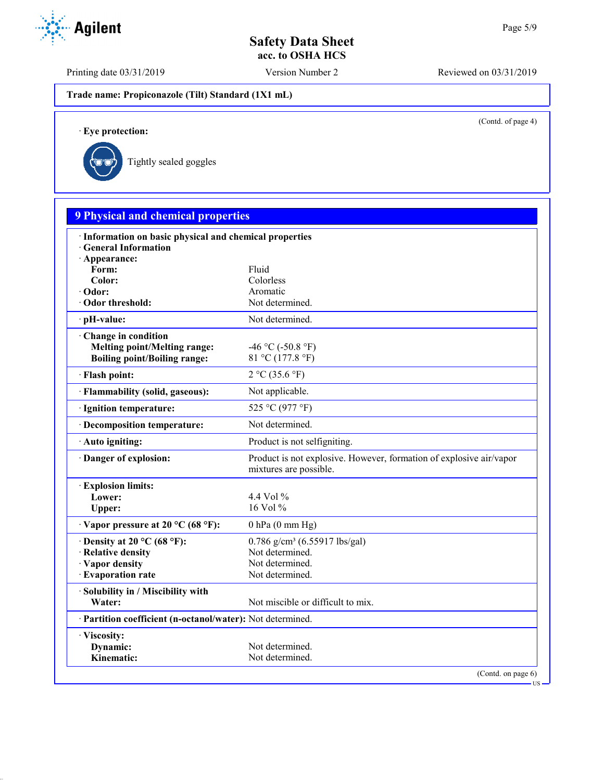Printing date 03/31/2019 Version Number 2 Reviewed on 03/31/2019

**Trade name: Propiconazole (Tilt) Standard (1X1 mL)**

(Contd. of page 4)

US

· **Eye protection:**



| <b>9 Physical and chemical properties</b>                                                         |                                                                                                      |
|---------------------------------------------------------------------------------------------------|------------------------------------------------------------------------------------------------------|
| · Information on basic physical and chemical properties<br><b>General Information</b>             |                                                                                                      |
| · Appearance:<br>Form:<br>Color:                                                                  | Fluid<br>Colorless                                                                                   |
| · Odor:<br>Odor threshold:                                                                        | Aromatic<br>Not determined.                                                                          |
| pH-value:                                                                                         | Not determined.                                                                                      |
| Change in condition<br><b>Melting point/Melting range:</b><br><b>Boiling point/Boiling range:</b> | -46 °C (-50.8 °F)<br>81 °C (177.8 °F)                                                                |
| · Flash point:                                                                                    | 2 °C (35.6 °F)                                                                                       |
| · Flammability (solid, gaseous):                                                                  | Not applicable.                                                                                      |
| · Ignition temperature:                                                                           | 525 °C (977 °F)                                                                                      |
| · Decomposition temperature:                                                                      | Not determined.                                                                                      |
| · Auto igniting:                                                                                  | Product is not selfigniting.                                                                         |
| Danger of explosion:                                                                              | Product is not explosive. However, formation of explosive air/vapor<br>mixtures are possible.        |
| <b>Explosion limits:</b><br>Lower:<br>Upper:                                                      | 4.4 Vol $\%$<br>16 Vol $%$                                                                           |
| $\cdot$ Vapor pressure at 20 °C (68 °F):                                                          | $0$ hPa $(0$ mm Hg)                                                                                  |
| $\cdot$ Density at 20 °C (68 °F):<br>· Relative density<br>· Vapor density<br>· Evaporation rate  | $0.786$ g/cm <sup>3</sup> (6.55917 lbs/gal)<br>Not determined.<br>Not determined.<br>Not determined. |
| · Solubility in / Miscibility with<br>Water:                                                      | Not miscible or difficult to mix.                                                                    |
| · Partition coefficient (n-octanol/water): Not determined.                                        |                                                                                                      |
| · Viscosity:<br>Dynamic:<br>Kinematic:                                                            | Not determined.<br>Not determined.                                                                   |
|                                                                                                   | (Contd. on page $6$ )                                                                                |

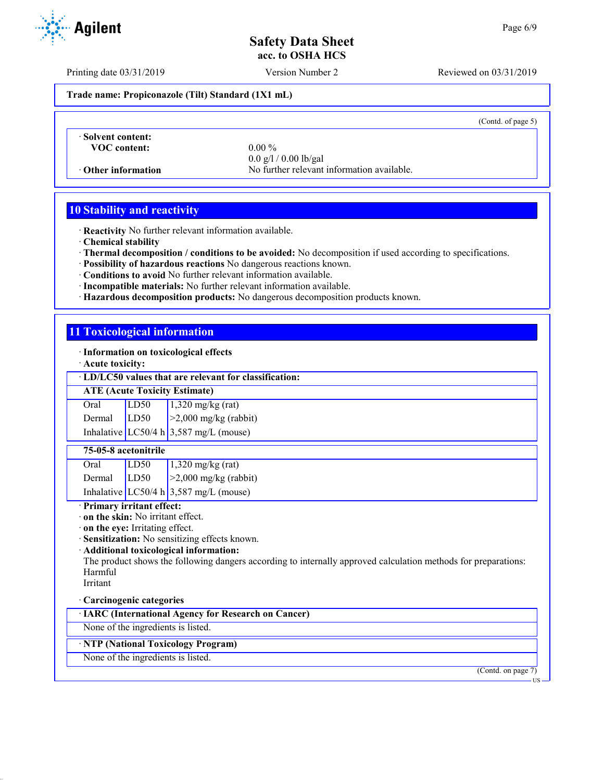Printing date 03/31/2019 Version Number 2 Reviewed on 03/31/2019

**Trade name: Propiconazole (Tilt) Standard (1X1 mL)**

(Contd. of page 5)

· **Solvent content: VOC content:** 0.00 %

0.0 g/l / 0.00 lb/gal · **Other information** No further relevant information available.

# **10 Stability and reactivity**

· **Reactivity** No further relevant information available.

· **Chemical stability**

- · **Thermal decomposition / conditions to be avoided:** No decomposition if used according to specifications.
- · **Possibility of hazardous reactions** No dangerous reactions known.
- · **Conditions to avoid** No further relevant information available.
- · **Incompatible materials:** No further relevant information available.
- · **Hazardous decomposition products:** No dangerous decomposition products known.

# **11 Toxicological information**

· **Information on toxicological effects**

· **Acute toxicity:**

· **LD/LC50 values that are relevant for classification:**

### **ATE (Acute Toxicity Estimate)**

| Oral          | LD50 | $1,320$ mg/kg (rat)                        |
|---------------|------|--------------------------------------------|
| Dermal $LD50$ |      | $\vert$ >2,000 mg/kg (rabbit)              |
|               |      | Inhalative $LC50/4 h   3,587 mg/L$ (mouse) |

### **75-05-8 acetonitrile**

| Oral   | LD <sub>50</sub> | $1,320$ mg/kg (rat)                    |
|--------|------------------|----------------------------------------|
| Dermal | LD50             | $\geq$ 2,000 mg/kg (rabbit)            |
|        |                  | Inhalative LC50/4 h 3,587 mg/L (mouse) |

### · **Primary irritant effect:**

· **on the skin:** No irritant effect.

· **on the eye:** Irritating effect.

· **Sensitization:** No sensitizing effects known.

· **Additional toxicological information:**

The product shows the following dangers according to internally approved calculation methods for preparations: Harmful

# Irritant

### · **Carcinogenic categories**

· **IARC (International Agency for Research on Cancer)**

None of the ingredients is listed.

### · **NTP (National Toxicology Program)**

None of the ingredients is listed.

(Contd. on page 7)

T TO

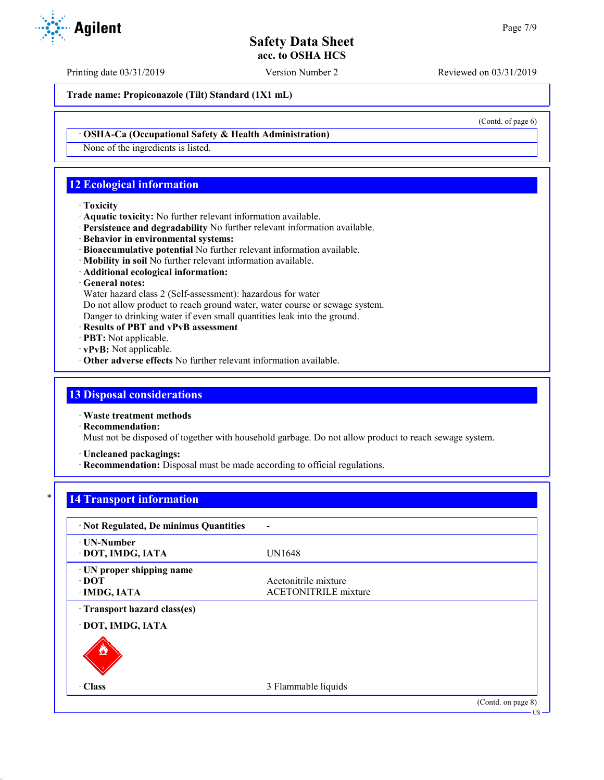Printing date 03/31/2019 Version Number 2 Reviewed on 03/31/2019

**Trade name: Propiconazole (Tilt) Standard (1X1 mL)**

· **OSHA-Ca (Occupational Safety & Health Administration)**

None of the ingredients is listed.

# **12 Ecological information**

### · **Toxicity**

- · **Aquatic toxicity:** No further relevant information available.
- · **Persistence and degradability** No further relevant information available.
- · **Behavior in environmental systems:**
- · **Bioaccumulative potential** No further relevant information available.
- · **Mobility in soil** No further relevant information available.
- · **Additional ecological information:**

### · **General notes:**

Water hazard class 2 (Self-assessment): hazardous for water

Do not allow product to reach ground water, water course or sewage system.

Danger to drinking water if even small quantities leak into the ground.

- · **Results of PBT and vPvB assessment**
- · **PBT:** Not applicable.
- · **vPvB:** Not applicable.
- · **Other adverse effects** No further relevant information available.

# **13 Disposal considerations**

· **Waste treatment methods**

· **Recommendation:**

Must not be disposed of together with household garbage. Do not allow product to reach sewage system.

· **Uncleaned packagings:**

· **Recommendation:** Disposal must be made according to official regulations.

# **14 Transport information**

| · Not Regulated, De minimus Quantities                   |                                                     |                    |
|----------------------------------------------------------|-----------------------------------------------------|--------------------|
| · UN-Number<br>· DOT, IMDG, IATA                         | <b>UN1648</b>                                       |                    |
| · UN proper shipping name<br>$\cdot$ DOT<br>· IMDG, IATA | Acetonitrile mixture<br><b>ACETONITRILE</b> mixture |                    |
| · Transport hazard class(es)<br>· DOT, IMDG, IATA        |                                                     |                    |
|                                                          |                                                     |                    |
| $\cdot$ Class                                            | 3 Flammable liquids                                 |                    |
|                                                          |                                                     | (Contd. on page 8) |



(Contd. of page 6)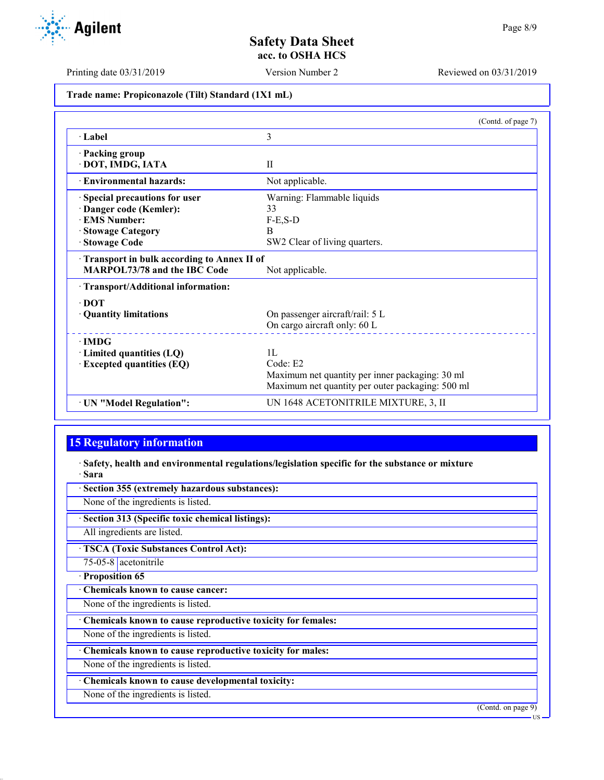Printing date 03/31/2019 Version Number 2 Reviewed on 03/31/2019

**Trade name: Propiconazole (Tilt) Standard (1X1 mL)**

|                                            | (Contd. of page 7)                               |  |  |
|--------------------------------------------|--------------------------------------------------|--|--|
| · Label                                    | 3                                                |  |  |
| · Packing group                            |                                                  |  |  |
| · DOT, IMDG, IATA                          | $_{\rm II}$                                      |  |  |
| <b>Environmental hazards:</b>              | Not applicable.                                  |  |  |
| Special precautions for user               | Warning: Flammable liquids                       |  |  |
| Danger code (Kemler):                      | 33                                               |  |  |
| <b>EMS Number:</b>                         | $F-E$ , $S-D$                                    |  |  |
| · Stowage Category                         | B                                                |  |  |
| · Stowage Code                             | SW2 Clear of living quarters.                    |  |  |
| Transport in bulk according to Annex II of |                                                  |  |  |
| <b>MARPOL73/78 and the IBC Code</b>        | Not applicable.                                  |  |  |
| · Transport/Additional information:        |                                                  |  |  |
| $\cdot$ DOT                                |                                                  |  |  |
| · Quantity limitations                     | On passenger aircraft/rail: 5 L                  |  |  |
|                                            | On cargo aircraft only: 60 L                     |  |  |
| $\cdot$ IMDG                               |                                                  |  |  |
| $\cdot$ Limited quantities (LQ)            | 1L                                               |  |  |
| <b>Excepted quantities (EQ)</b>            | Code: E2                                         |  |  |
|                                            | Maximum net quantity per inner packaging: 30 ml  |  |  |
|                                            | Maximum net quantity per outer packaging: 500 ml |  |  |
| · UN "Model Regulation":                   | UN 1648 ACETONITRILE MIXTURE, 3, II              |  |  |

# **15 Regulatory information**

· **Safety, health and environmental regulations/legislation specific for the substance or mixture** · **Sara**

· **Section 355 (extremely hazardous substances):**

None of the ingredients is listed.

· **Section 313 (Specific toxic chemical listings):**

All ingredients are listed.

· **TSCA (Toxic Substances Control Act):**

75-05-8 acetonitrile · **Proposition 65**

· **Chemicals known to cause cancer:**

None of the ingredients is listed.

· **Chemicals known to cause reproductive toxicity for females:**

None of the ingredients is listed.

· **Chemicals known to cause reproductive toxicity for males:**

None of the ingredients is listed.

· **Chemicals known to cause developmental toxicity:**

None of the ingredients is listed.

(Contd. on page 9)

US

Agilent